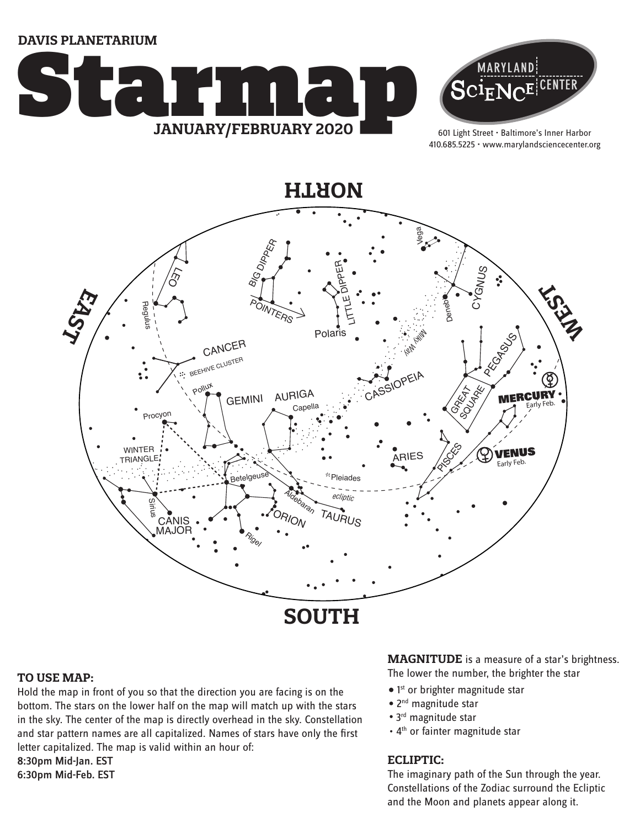**DAVIS PLANETARIUM**





601 Light Street • Baltimore's Inner Harbor 410.685.5225 • www.marylandsciencecenter.org



#### **TO USE MAP:**

Hold the map in front of you so that the direction you are facing is on the bottom. The stars on the lower half on the map will match up with the stars in the sky. The center of the map is directly overhead in the sky. Constellation and star pattern names are all capitalized. Names of stars have only the first letter capitalized. The map is valid within an hour of: 8:30pm Mid-Jan. EST

6:30pm Mid-Feb. EST

**MAGNITUDE** is a measure of a star's brightness. The lower the number, the brighter the star

- 1<sup>st</sup> or brighter magnitude star
- 2<sup>nd</sup> magnitude star
- 3<sup>rd</sup> magnitude star
- 4<sup>th</sup> or fainter magnitude star

### **ECLIPTIC:**

The imaginary path of the Sun through the year. Constellations of the Zodiac surround the Ecliptic and the Moon and planets appear along it.